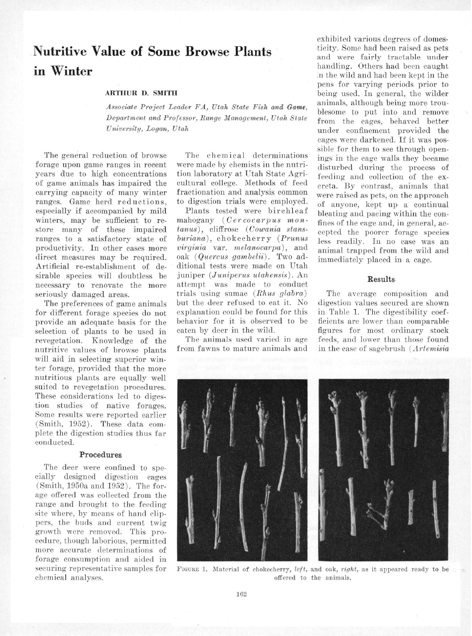# **Nutritive Value of Some Browse Plants in Winter**

## **ARTHUR D. SMITH**

Associate Project Leader FA, Utah State Fish and Game, *Departmmt aad Proftssor, Range Mamgement, Utah State*   $University, Logan, Utah$ 

The general reduction of browse forage upon game ranges in recent years due to high concentrations of game animals has impaired the carrying capacity of many winter ranges. Game herd reductions, especially if accompanied by mild winters, may be sufficient to restore many of these impaired ranges to a satisfactory state of productivity. In other eases more direct measures may be required. Artificial re-establishment of desirable species will doubtless be necessary to renovate the mope seriously damaged areas.

The preferences of game animals for different forage species do not provide an adequate basis for the selection of plants to be used in revegetation. Knowledge of the nutritive values of browse plants will aid in selecting superior winter forage, provided that the more nutritious plants are equally well suited to revegetation procedures. These considerations led to digestion studies of native forages. Some results were reported earlier (Smith, 1952). These data complete the digestion studies thus far conducted.

## Procedures

The deer were confined to specially designed digestion cages (Smith, 1950a and 1952). The forage offered was collected from the range and brought to the feeding site where, by means of hand elippen, the buds and current twig growth were removed. This procedure, though laborious, permitted more accurate determinations of forage consumption and aided in securing representative samples for chemical analyses.

The chemical determinations were made by chemists in the nutrition laboratory at Utah State Agricultural college. Methods of feed fractionation and analysis common to digestion trials were employed.

Plants tested were birehleaf mahogany *(Cercocarpus montanus*), cliffrose (Cowania stansburiana), chokecherry (Prunus *virginia var. melanocarpa),* and oak (Quercus gambelii). Two additional tests were made on Utah juniper (Juniperus utahensis). An attempt was made to conduct trials using sumac *(Rhus glabra)*  but the deer refused to eat it. No explanation could be found for this behavior for it is observed to be eaten by deer in the wild.

The animals used varied in age from fawns to mature animals and exhibited various degrees of domesticity. Some had been raised as pets and were fairly tractable under handling. Others had been caught .n the wild and had been kept in the pens for varying periods prior to being used. In general, the wilder animals, although being more troublesome to put into and remove from the cages, behaved better under confinement provided the cages were darkened. If it was possible for them to see through openings in the cage walls they became disturbed during the process of feeding and collection of the excreta. By contrast, animals that were raised as pets, on the approach of anyone, kept up a continual bleating and pacing within the confines of the cage and, in general, accepted the poorer forage species less readily. In no ease was an animal trapped from the wild and immediately placed in a cage.

## Results

The average composition and digestion values secured are shown in Table 1. The digestibility eoeffieients are lower than comparable figures for most ordinary stock feeds, and lower than those found in the case of sagebrush  $Artemisia$ 



FIGURE 1. Material of chokecherry, *left*, and oak, *right*, as it appeared ready to be offered to the animals.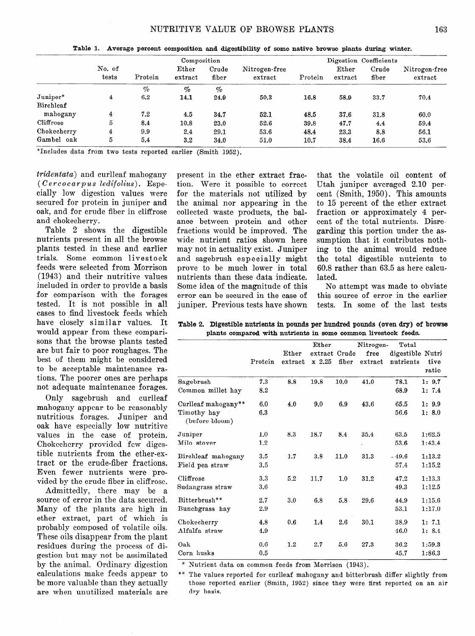| No. of<br>tests         | Protein | Ether<br>extract | Crude<br>fiber | Nitrogen-free<br>extract | Protein | Ether<br>extract | Crude<br>fiber | Nitrogen-free<br>extract |
|-------------------------|---------|------------------|----------------|--------------------------|---------|------------------|----------------|--------------------------|
|                         | $\%$    | $\%$             | $\%$           |                          |         |                  |                |                          |
| 4                       | 6.2     | 14.1             | 24.9           | 50.3                     | 16.8    | 58.9             | 33.7           | 70.4                     |
|                         |         |                  |                |                          |         |                  |                |                          |
| 4                       | 7.2     | 4.5              | 34.7           | 52.1                     | 48.5    | 37.6             | 31.8           | 60.0                     |
| 5                       | 8.4     | 10.8             | 23.0           | 52.6                     | 39.8    | 47.7             | 4.4            | 59.4                     |
| $\overline{\mathbf{4}}$ | 9.9     | 2.4              | 29.1           | 53.6                     | 48.4    | 23.3             | 8.8            | 56.1                     |
| 5                       | 5.4     | $3.2\phantom{0}$ | 34.0           | 51.0                     | 10.7    | 38.4             | 16.6           | 53.6                     |
|                         |         |                  |                | Composition              |         |                  |                | Digestion Coefficients   |

Table 1. Average percent composition and digestibility of some native browse plants during winter.

\*Includes data from two tests reported earlier (Smith 1952).

*tridentata*) and curlleaf mahogany *(Cercocarpus ledifolius).* Especially low digestion values were secured for protein in juniper and oak, and for crude fiber in cliffrose and chokecherry.

Table 2 shows the digestible nutrients present in all the browse plants tested in these and earlier trials. Some common livestock feeds were selected from Morrison (1943) and their nutritive values included in order to provide a basis for comparison with the forages tested. It is not possible in all cases to find livestock feeds which have closely similar values. It would appear from these comparisons that the browse plants tested are but fair to poor roughages. The best of them might be considered to be acceptable maintenance rations. The poorer ones are perhaps not adequate maintenance forages.

Only sagebrush and curlleaf mahogany appear to be reasonably nutritious forages. Juniper and oak have especially low nutritive values in the case of protein. Chokecherry provided few digestible nutrients from the ether-extract or the crude-fiber fractions. Even fewer nutrients were provided by the crude fiber in cliffrose.

Admittedly, there may be a source of error in the data secured. Many of the plants are high in ether extract, part of which is probably composed of volatile oils. These oils disappear from the plant residues during the process of digestion but may not be assimilated by the animal. Ordinary digestion calculations make feeds appear to be more valuable than they actually are when unutilized materials are

present in the ether extract fraction. Were it possible to correct for the materials not utilized by the animal nor appearing in the collected waste products, the balance between protein and other fractions would be improved. The wide nutrient ratios shown here may not in actuality exist. Juniper and sagebrush especially might prove to be much lower in total nutrients than these data indicate. Some idea of the magnitude of this error can be secured in the case of juniper. Previous tests have shown that the volatile oil content of Utah juniper averaged 2.10 percent (Smith, 1950). This amounts to 15 percent of the ether extract fraction or approximately 4 percent of the total nutrients. Disregarding this portion under the assumption that it contributes nothing to the animal would reduce the total digestible nutrients to 60.8 rather than 63.5 as here calculated.

No attempt was made to obviate this source of error in the earlier tests. In some of the last tests

Table 2. Digestible nutrients in pounds per hundred pounds (oven dry) of browse plants compared with nutrients in some common livestock feeds.

|                     |         |         | Ether         |       | Nitrogen-<br>Total |                  |        |  |
|---------------------|---------|---------|---------------|-------|--------------------|------------------|--------|--|
|                     |         | Ether   | extract Crude |       | free               | digestible Nutri |        |  |
|                     | Protein | extract | $x\,2.25$     | fiber | extract            | nutrients        | tive   |  |
|                     |         |         |               |       |                    |                  | ratio  |  |
| Sagebrush           | 7.3     | 8.8     | 19.8          | 10.0  | 41.0               | 78.1             | 1:9.7  |  |
| Common millet hay   | 8.2     |         |               |       |                    | 68.9             | 1: 7.4 |  |
| Curlleaf mahogany** | 6.0     | 4.0     | 9.0           | 6.9   | 43.6               | 65.5             | 1:9.9  |  |
| Timothy hay         | 6.3     |         |               |       |                    | 56.6             | 1:8.0  |  |
| (before bloom)      |         |         |               |       |                    |                  |        |  |
| Juniper             | 1.0     | 8.3     | 18.7          | 8.4   | 35.4               | 63.5             | 1:62.5 |  |
| Milo stover         | 1.2     |         |               |       | à.                 | 53.6             | 1:43.4 |  |
| Birchleaf mahogany  | 3.5     | 1.7     | 3.8           | 11.0  | 31.3               | $-49.6$          | 1:13.2 |  |
| Field pea straw     | 3.5     |         |               |       |                    | 57.4             | 1:15.2 |  |
| Cliffrose           | 3.3     | 5.2     | 11.7          | 1.0   | 31.2               | 47.2             | 1:13.3 |  |
| Sudangrass straw    | 3.6     |         |               |       |                    | 49.3             | 1:12.5 |  |
| Bitterbrush**       | 2.7     | 3.0     | 6.8           | 5.8   | 29.6               | 44.9             | 1:15.6 |  |
| Bunchgrass hay      | 2.9     |         |               |       |                    | 53.1             | 1:17.0 |  |
| Chokecherry         | 4.8     | 0.6     | 1.4           | 2.6   | 30.1               | 38.9             | 1: 7.1 |  |
| Alfalfa straw       | 4.9     |         |               |       |                    | 46.0             | 1:8.4  |  |
| Oak                 | 0.6     | 1.2     | 2.7           | 5.6   | 27.3               | 36.2             | 1:59.3 |  |
| Corn husks          | 0.5     |         |               |       |                    | 45.7             | 1:86.3 |  |

\* Nutrient data on common feeds from Morrison (1943).

\*\* The values reported for curlleaf mahogany and bitterbrush differ slightly from those reported earlier (Smith, 1952) since they were first reported on an air dry basis.